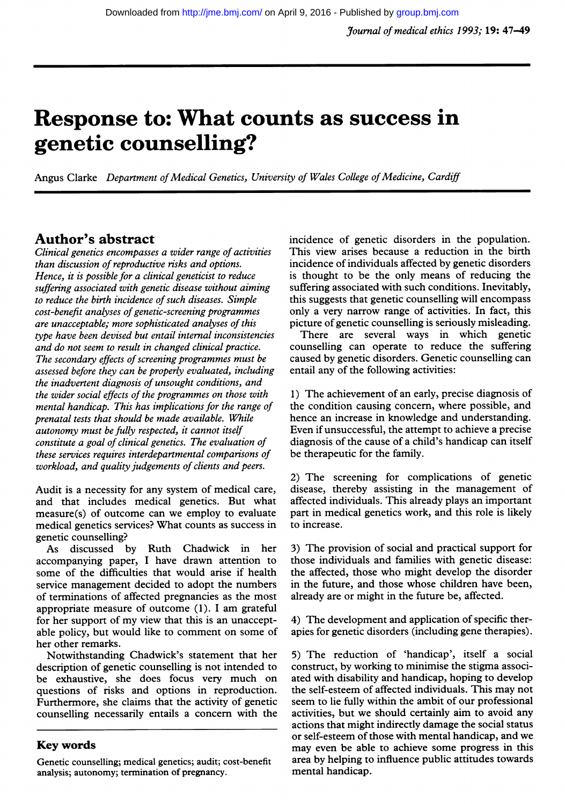# Response to: What counts as success in genetic counselling?

Angus Clarke Department of Medical Genetics, University of Wales College of Medicine, Cardiff

### Author's abstract

Clinical genetics encompasses a wider range of activities than discussion of reproductive risks and options. Hence, it is possible for a clinical geneticist to reduce suffering associated with genetic disease without aiming to reduce the birth incidence of such diseases. Simple cost-benefit analyses of genetic-screening programmes are unacceptable; more sophisticated analyses of this type have been devised but entail internal inconsistencies and do not seem to result in changed clinical practice. The secondary effects of screening programmes must be assessed before they can be properly evaluated, including the inadvertent diagnosis of unsought conditions, and the wider social effects of the programmes on those with mental handicap. This has implications for the range of prenatal tests that should be made available. While  $a$ utonomy must be fully respected, it cannot itself constitute a goal of clinical genetics. The evaluation of these services requires interdepartmental comparisons of workload, and quality judgements of clients and peers.

Audit is a necessity for any system of medical care, and that includes medical genetics. But what measure(s) of outcome can we employ to evaluate medical genetics services? What counts as success in genetic counselling?

As discussed by Ruth Chadwick in her accompanying paper, <sup>I</sup> have drawn attention to some of the difficulties that would arise if health service management decided to adopt the numbers of terminations of affected pregnancies as the most appropriate measure of outcome (1). <sup>I</sup> am grateful for her support of my view that this is an unacceptable policy, but would like to comment on some of her other remarks.

Notwithstanding Chadwick's statement that her description of genetic counselling is not intended to be exhaustive, she does focus very much on questions of risks and options in reproduction. Furthermore, she claims that the activity of genetic counselling necessarily entails a concern with the

#### Key words

Genetic counselling; medical genetics; audit; cost-benefit analysis; autonomy; termination of pregnancy.

incidence of genetic disorders in the population. This view arises because a reduction in the birth incidence of individuals affected by genetic disorders is thought to be the only means of reducing the suffering associated with such conditions. Inevitably, this suggests that genetic counselling will encompass only a very narrow range of activities. In fact, this picture of genetic counselling is seriously misleading.

There are several ways in which genetic counselling can operate to reduce the suffering caused by genetic disorders. Genetic counselling can entail any of the following activities:

1) The achievement of an early, precise diagnosis of the condition causing concern, where possible, and hence an increase in knowledge and understanding. Even if unsuccessful, the attempt to achieve a precise diagnosis of the cause of a child's handicap can itself be therapeutic for the family.

2) The screening for complications of genetic disease, thereby assisting in the management of affected individuals. This already plays an important part in medical genetics work, and this role is likely to increase.

3) The provision of social and practical support for those individuals and families with genetic disease: the affected, those who might develop the disorder in the future, and those whose children have been, already are or might in the future be, affected.

4) The development and application of specific therapies for genetic disorders (including gene therapies).

5) The reduction of 'handicap', itself a social construct, by working to minimise the stigma associated with disability and handicap, hoping to develop the self-esteem of affected individuals. This may not seem to lie fully within the ambit of our professional activities, but we should certainly aim to avoid any actions that might indirectly damage the social status or self-esteem of those with mental handicap, and we may even be able to achieve some progress in this area by helping to influence public attitudes towards mental handicap.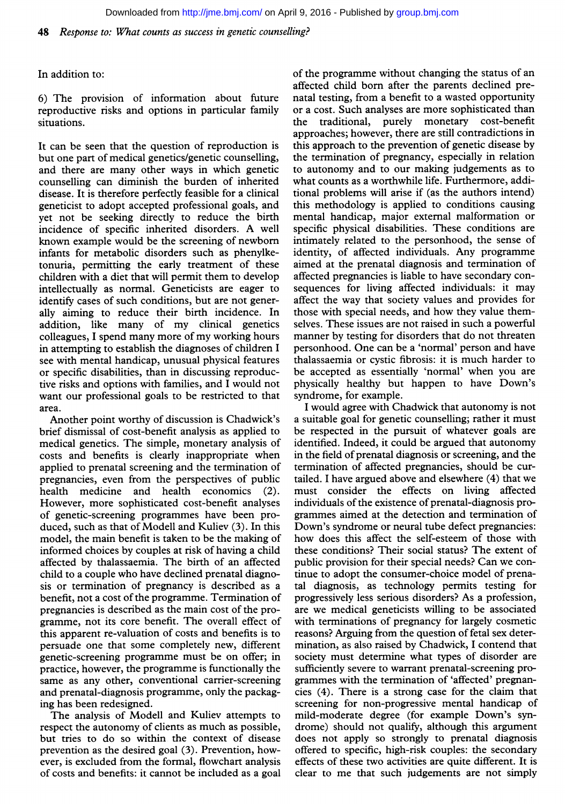Downloaded from<http://jme.bmj.com/>on April 9, 2016 - Published by [group.bmj.com](http://group.bmj.com)

48 Response to: What counts as success in genetic counselling?

In addition to:

6) The provision of information about future reproductive risks and options in particular family situations.

It can be seen that the question of reproduction is but one part of medical genetics/genetic counselling, and there are many other ways in which genetic counselling can diminish the burden of inherited disease. It is therefore perfectly feasible for a clinical geneticist to adopt accepted professional goals, and yet not be seeking directly to reduce the birth incidence of specific inherited disorders. A well known example would be the screening of newborn infants for metabolic disorders such as phenylketonuria, permitting the early treatment of these children with a diet that will permit them to develop intellectually as normal. Geneticists are eager to identify cases of such conditions, but are not generally aiming to reduce their birth incidence. In addition, like many of my clinical genetics colleagues, <sup>I</sup> spend many more of my working hours in attempting to establish the diagnoses of children <sup>I</sup> see with mental handicap, unusual physical features or specific disabilities, than in discussing reproductive risks and options with families, and <sup>I</sup> would not want our professional goals to be restricted to that area.

Another point worthy of discussion is Chadwick's brief dismissal of cost-benefit analysis as applied to medical genetics. The simple, monetary analysis of costs and benefits is clearly inappropriate when applied to prenatal screening and the termination of pregnancies, even from the perspectives of public health medicine and health economics (2). However, more sophisticated cost-benefit analyses of genetic-screening programmes have been produced, such as that of Modell and Kuliev (3). In this model, the main benefit is taken to be the making of informed choices by couples at risk of having a child affected by thalassaemia. The birth of an affected child to a couple who have declined prenatal diagnosis or termination of pregnancy is described as a benefit, not a cost of the programme. Termination of pregnancies is described as the main cost of the programme, not its core benefit. The overall effect of this apparent re-valuation of costs and benefits is to persuade one that some completely new, different genetic-screening programme must be on offer; in practice, however, the programme is functionally the same as any other, conventional carrier-screening and prenatal-diagnosis programme, only the packaging has been redesigned.

The analysis of Modell and Kuliev attempts to respect the autonomy of clients as much as possible, but tries to do so within the context of disease prevention as the desired goal (3). Prevention, however, is excluded from the formal, flowchart analysis of costs and benefits: it cannot be included as a goal of the programme without changing the status of an affected child born after the parents declined prenatal testing, from a benefit to a wasted opportunity or a cost. Such analyses are more sophisticated than the traditional, purely monetary cost-benefit approaches; however, there are still contradictions in this approach to the prevention of genetic disease by the termination of pregnancy, especially in relation to autonomy and to our making judgements as to what counts as a worthwhile life. Furthermore, additional problems will arise if (as the authors intend) this methodology is applied to conditions causing mental handicap, major external malformation or specific physical disabilities. These conditions are intimately related to the personhood, the sense of identity, of affected individuals. Any programme aimed at the prenatal diagnosis and termination of affected pregnancies is liable to have secondary consequences for living affected individuals: it may affect the way that society values and provides for those with special needs, and how they value themselves. These issues are not raised in such a powerful manner by testing for disorders that do not threaten personhood. One can be <sup>a</sup> 'normal' person and have thalassaemia or cystic fibrosis: it is much harder to be accepted as essentially 'normal' when you are physically healthy but happen to have Down's syndrome, for example.

<sup>I</sup> would agree with Chadwick that autonomy is not a suitable goal for genetic counselling; rather it must be respected in the pursuit of whatever goals are identified. Indeed, it could be argued that autonomy in the field of prenatal diagnosis or screening, and the termination of affected pregnancies, should be curtailed. <sup>I</sup> have argued above and elsewhere (4) that we must consider the effects on living affected individuals of the existence of prenatal-diagnosis programmes aimed at the detection and termination of Down's syndrome or neural tube defect pregnancies: how does this affect the self-esteem of those with these conditions? Their social status? The extent of public provision for their special needs? Can we continue to adopt the consumer-choice model of prenatal diagnosis, as technology permits testing for progressively less serious disorders? As a profession, are we medical geneticists willing to be associated with terminations of pregnancy for largely cosmetic reasons? Arguing from the question of fetal sex determination, as also raised by Chadwick, <sup>I</sup> contend that society must determine what types of disorder are sufficiently severe to warrant prenatal-screening programmes with the termination of 'affected' pregnancies (4). There is a strong case for the claim that screening for non-progressive mental handicap of mild-moderate degree (for example Down's syndrome) should not qualify, although this argument does not apply so strongly to prenatal diagnosis offered to specific, high-risk couples: the secondary effects of these two activities are quite different. It is clear to me that such judgements are not simply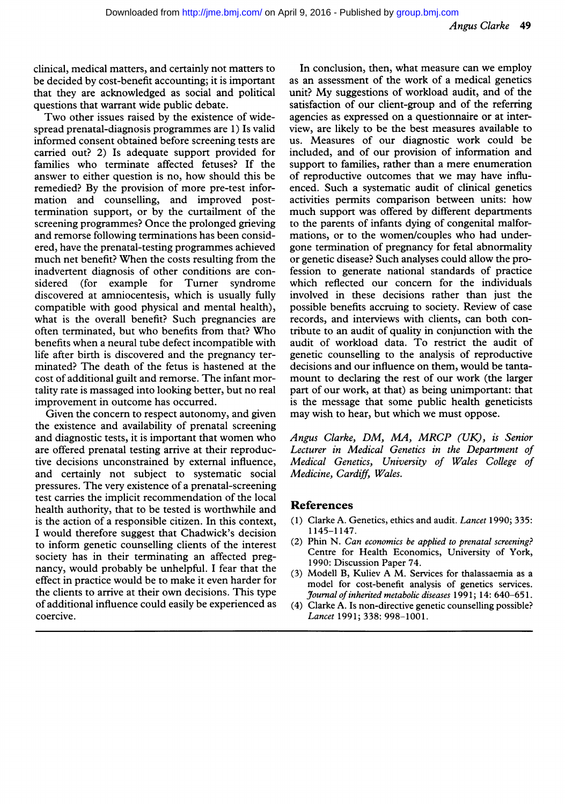clinical, medical matters, and certainly not matters to be decided by cost-benefit accounting; it is important that they are acknowledged as social and political questions that warrant wide public debate.

Two other issues raised by the existence of widespread prenatal-diagnosis programmes are 1) Is valid informed consent obtained before screening tests are carried out? 2) Is adequate support provided for families who terminate affected fetuses? If the answer to either question is no, how should this be remedied? By the provision of more pre-test information and counselling, and improved posttermination support, or by the curtailment of the screening programmes? Once the prolonged grieving and remorse following terminations has been considered, have the prenatal-testing programmes achieved much net benefit? When the costs resulting from the inadvertent diagnosis of other conditions are considered (for example for Turner syndrome discovered at amniocentesis, which is usually fully compatible with good physical and mental health), what is the overall benefit? Such pregnancies are often terminated, but who benefits from that? Who benefits when a neural tube defect incompatible with life after birth is discovered and the pregnancy terminated? The death of the fetus is hastened at the cost of additional guilt and remorse. The infant mortality rate is massaged into looking better, but no real improvement in outcome has occurred.

Given the concern to respect autonomy, and given the existence and availability of prenatal screening and diagnostic tests, it is important that women who are offered prenatal testing arrive at their reproductive decisions unconstrained by external influence, and certainly not subject to systematic social pressures. The very existence of a prenatal-screening test carries the implicit recommendation of the local health authority, that to be tested is worthwhile and is the action of a responsible citizen. In this context, <sup>I</sup> would therefore suggest that Chadwick's decision to inform genetic counselling clients of the interest society has in their terminating an affected pregnancy, would probably be unhelpful. <sup>I</sup> fear that the effect in practice would be to make it even harder for the clients to arrive at their own decisions. This type of additional influence could easily be experienced as coercive.

In conclusion, then, what measure can we employ as an assessment of the work of a medical genetics unit? My suggestions of workload audit, and of the satisfaction of our client-group and of the referring agencies as expressed on a questionnaire or at interview, are likely to be the best measures available to us. Measures of our diagnostic work could be included, and of our provision of information and support to families, rather than a mere enumeration of reproductive outcomes that we may have influenced. Such a systematic audit of clinical genetics activities permits comparison between units: how much support was offered by different departments to the parents of infants dying of congenital malformations, or to the women/couples who had undergone termination of pregnancy for fetal abnormality or genetic disease? Such analyses could allow the profession to generate national standards of practice which reflected our concem for the individuals involved in these decisions rather than just the possible benefits accruing to society. Review of case records, and interviews with clients, can both contribute to an audit of quality in conjunction with the audit of workload data. To restrict the audit of genetic counselling to the analysis of reproductive decisions and our influence on them, would be tantamount to declaring the rest of our work (the larger part of our work, at that) as being unimportant: that is the message that some public health geneticists may wish to hear, but which we must oppose.

Angus Clarke, DM, MA, MRCP (UK), is Senior Lecturer in Medical Genetics in the Department of Medical Genetics, University of Wales College of Medicine, Cardiff, Wales.

#### References

- (1) Clarke A. Genetics, ethics and audit. Lancet 1990; 335: 1145-1147.
- (2) Phin N. Can economics be applied to prenatal screening? Centre for Health Economics, University of York, 1990: Discussion Paper 74.
- (3) Modell B, Kuliev A M. Services for thalassaemia as <sup>a</sup> model for cost-benefit analysis of genetics services. 3rournal of inherited metabolic diseases 1991; 14: 640-651.
- (4) Clarke A. Is non-directive genetic counselling possible? Lancet 1991; 338: 998-1001.